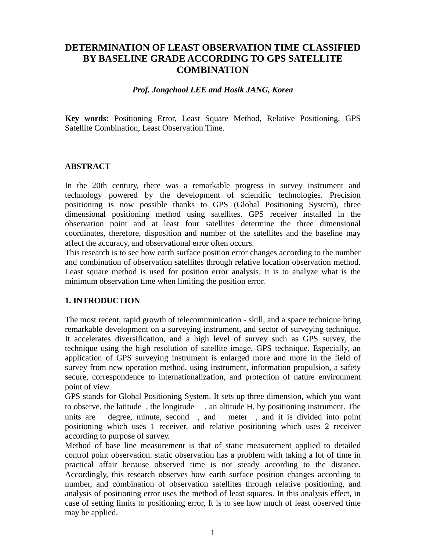# **DETERMINATION OF LEAST OBSERVATION TIME CLASSIFIED BY BASELINE GRADE ACCORDING TO GPS SATELLITE COMBINATION**

#### *Prof. Jongchool LEE and Hosik JANG, Korea*

**Key words:** Positioning Error, Least Square Method, Relative Positioning, GPS Satellite Combination, Least Observation Time.

### **ABSTRACT**

In the 20th century, there was a remarkable progress in survey instrument and technology powered by the development of scientific technologies. Precision positioning is now possible thanks to GPS (Global Positioning System), three dimensional positioning method using satellites. GPS receiver installed in the observation point and at least four satellites determine the three dimensional coordinates, therefore, disposition and number of the satellites and the baseline may affect the accuracy, and observational error often occurs.

This research is to see how earth surface position error changes according to the number and combination of observation satellites through relative location observation method. Least square method is used for position error analysis. It is to analyze what is the minimum observation time when limiting the position error.

### **1. INTRODUCTION**

The most recent, rapid growth of telecommunication - skill, and a space technique bring remarkable development on a surveying instrument, and sector of surveying technique. It accelerates diversification, and a high level of survey such as GPS survey, the technique using the high resolution of satellite image, GPS technique. Especially, an application of GPS surveying instrument is enlarged more and more in the field of survey from new operation method, using instrument, information propulsion, a safety secure, correspondence to internationalization, and protection of nature environment point of view.

GPS stands for Global Positioning System. It sets up three dimension, which you want to observe, the latitude , the longitude , an altitude H, by positioning instrument. The units are degree, minute, second , and meter , and it is divided into point positioning which uses 1 receiver, and relative positioning which uses 2 receiver according to purpose of survey.

Method of base line measurement is that of static measurement applied to detailed control point observation. static observation has a problem with taking a lot of time in practical affair because observed time is not steady according to the distance. Accordingly, this research observes how earth surface position changes according to number, and combination of observation satellites through relative positioning, and analysis of positioning error uses the method of least squares. In this analysis effect, in case of setting limits to positioning error, It is to see how much of least observed time may be applied.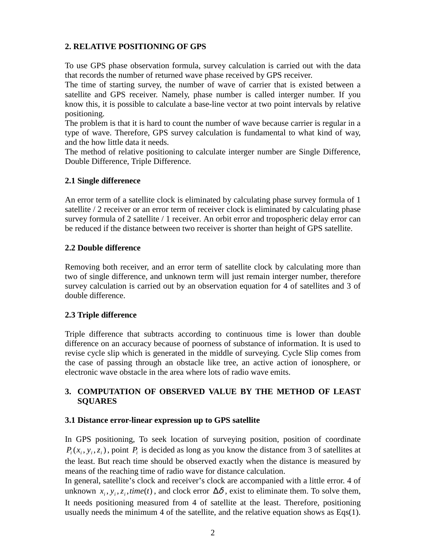# **2. RELATIVE POSITIONING OF GPS**

To use GPS phase observation formula, survey calculation is carried out with the data that records the number of returned wave phase received by GPS receiver.

The time of starting survey, the number of wave of carrier that is existed between a satellite and GPS receiver. Namely, phase number is called interger number. If you know this, it is possible to calculate a base-line vector at two point intervals by relative positioning.

The problem is that it is hard to count the number of wave because carrier is regular in a type of wave. Therefore, GPS survey calculation is fundamental to what kind of way, and the how little data it needs.

The method of relative positioning to calculate interger number are Single Difference, Double Difference, Triple Difference.

# **2.1 Single differenece**

An error term of a satellite clock is eliminated by calculating phase survey formula of 1 satellite / 2 receiver or an error term of receiver clock is eliminated by calculating phase survey formula of 2 satellite / 1 receiver. An orbit error and tropospheric delay error can be reduced if the distance between two receiver is shorter than height of GPS satellite.

### **2.2 Double difference**

Removing both receiver, and an error term of satellite clock by calculating more than two of single difference, and unknown term will just remain interger number, therefore survey calculation is carried out by an observation equation for 4 of satellites and 3 of double difference.

# **2.3 Triple difference**

Triple difference that subtracts according to continuous time is lower than double difference on an accuracy because of poorness of substance of information. It is used to revise cycle slip which is generated in the middle of surveying. Cycle Slip comes from the case of passing through an obstacle like tree, an active action of ionosphere, or electronic wave obstacle in the area where lots of radio wave emits.

# **3. COMPUTATION OF OBSERVED VALUE BY THE METHOD OF LEAST SQUARES**

# **3.1 Distance error-linear expression up to GPS satellite**

In GPS positioning, To seek location of surveying position, position of coordinate  $P_i(x_i, y_i, z_i)$ , point  $P_i$  is decided as long as you know the distance from 3 of satellites at the least. But reach time should be observed exactly when the distance is measured by means of the reaching time of radio wave for distance calculation.

In general, satellite's clock and receiver's clock are accompanied with a little error. 4 of unknown  $x_i$ ,  $y_i$ ,  $z_i$ , *time*(*t*), and clock error  $\Delta \delta$ , exist to eliminate them. To solve them, It needs positioning measured from 4 of satellite at the least. Therefore, positioning usually needs the minimum 4 of the satellite, and the relative equation shows as Eqs(1).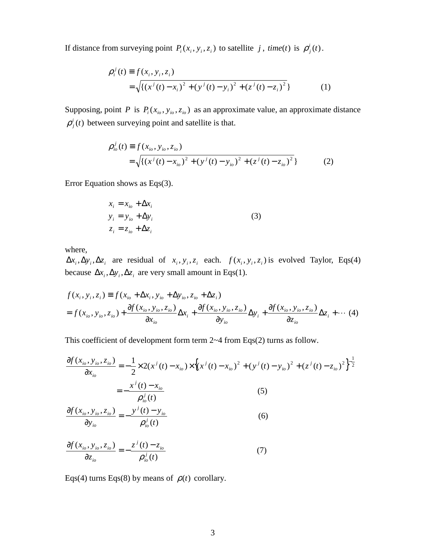If distance from surveying point  $P_i(x_i, y_i, z_i)$  to satellite *j*, *time*(*t*) is  $\rho_j^i(t)$ .

$$
\rho_i^j(t) \equiv f(x_i, y_i, z_i) \n= \sqrt{\{(x^j(t) - x_i)^2 + (y^j(t) - y_i)^2 + (z^j(t) - z_i)^2\}}
$$
\n(1)

Supposing, point *P* is  $P_i(x_{i_0}, y_{i_0}, z_{i_0})$  as an approximate value, an approximate distance  $\rho_i^i(t)$  between surveying point and satellite is that.

$$
\rho_{io}^j(t) \equiv f(x_{io}, y_{io}, z_{io})
$$
  
=  $\sqrt{\{(x^j(t) - x_{io})^2 + (y^j(t) - y_{io})^2 + (z^j(t) - z_{io})^2}\}$  (2)

Error Equation shows as Eqs(3).

$$
x_i = x_{io} + \Delta x_i
$$
  
\n
$$
y_i = y_{io} + \Delta y_i
$$
  
\n
$$
z_i = z_{io} + \Delta z_i
$$
\n(3)

where,

 $\Delta x_i, \Delta y_i, \Delta z_i$  are residual of  $x_i, y_i, z_i$  each.  $f(x_i, y_i, z_i)$  is evolved Taylor, Eqs(4) because  $\Delta x_i$ ,  $\Delta y_i$ ,  $\Delta z_i$  are very small amount in Eqs(1).

$$
f(x_i, y_i, z_i) \equiv f(x_{io} + \Delta x_i, y_{io} + \Delta y_{io}, z_{io} + \Delta z_i)
$$
  
=  $f(x_{io}, y_{io}, z_{io}) + \frac{\partial f(x_{io}, y_{io}, z_{io})}{\partial x_{io}} \Delta x_i + \frac{\partial f(x_{io}, y_{io}, z_{io})}{\partial y_{io}} \Delta y_i + \frac{\partial f(x_{io}, y_{io}, z_{io})}{\partial z_{io}} \Delta z_i + \cdots$  (4)

This coefficient of development form term 2~4 from Eqs(2) turns as follow.

$$
\frac{\partial f(x_{io}, y_{io}, z_{io})}{\partial x_{io}} = -\frac{1}{2} \times 2(x^{j}(t) - x_{io}) \times \left\{ (x^{j}(t) - x_{io})^{2} + (y^{j}(t) - y_{io})^{2} + (z^{j}(t) - z_{io})^{2} \right\}^{-\frac{1}{2}}
$$
\n
$$
= -\frac{x^{j}(t) - x_{io}}{\rho_{io}^{j}(t)}
$$
\n(5)

$$
\frac{\partial f(x_{io}, y_{io}, z_{io})}{\partial y_{io}} = -\frac{y^j(t) - y_{io}}{\rho_{io}^j(t)}
$$
(6)

$$
\frac{\partial f(x_{io}, y_{io}, z_{io})}{\partial z_{io}} = -\frac{z^j(t) - z_{io}}{\rho_{io}^j(t)}
$$
(7)

Eqs(4) turns Eqs(8) by means of  $\rho(t)$  corollary.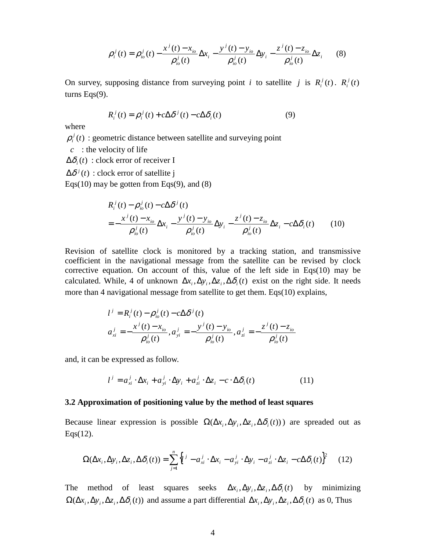$$
\rho_i^j(t) = \rho_{io}^j(t) - \frac{x^j(t) - x_{io}}{\rho_{io}^j(t)} \Delta x_i - \frac{y^j(t) - y_{io}}{\rho_{io}^j(t)} \Delta y_i - \frac{z^j(t) - z_{io}}{\rho_{io}^j(t)} \Delta z_i
$$
 (8)

On survey, supposing distance from surveying point *i* to satellite *j* is  $R_i^j(t)$ .  $R_i^j(t)$ turns Eqs(9).

$$
R_i^j(t) = \rho_i^j(t) + c\Delta\delta^j(t) - c\Delta\delta_i(t)
$$
\n(9)

where

 $\rho_i^j(t)$ : geometric distance between satellite and surveying point

*c* : the velocity of life

 $\Delta \delta_i(t)$ : clock error of receiver I

 $\Delta \delta^{j}(t)$  : clock error of satellite j

Eqs $(10)$  may be gotten from Eqs $(9)$ , and  $(8)$ 

$$
R_i^j(t) - \rho_{io}^j(t) - c\Delta \delta^j(t)
$$
  
= 
$$
-\frac{x^j(t) - x_{io}}{\rho_{io}^j(t)} \Delta x_i - \frac{y^j(t) - y_{io}}{\rho_{io}^j(t)} \Delta y_i - \frac{z^j(t) - z_{io}}{\rho_{io}^j(t)} \Delta z_i - c\Delta \delta_i(t)
$$
 (10)

Revision of satellite clock is monitored by a tracking station, and transmissive coefficient in the navigational message from the satellite can be revised by clock corrective equation. On account of this, value of the left side in Eqs(10) may be calculated. While, 4 of unknown  $\Delta x_i$ ,  $\Delta y_i$ ,  $\Delta z_i$ ,  $\Delta \delta_i(t)$  exist on the right side. It needs more than 4 navigational message from satellite to get them. Eqs(10) explains,

$$
l^{j} = R_{i}^{j}(t) - \rho_{io}^{j}(t) - c\Delta \delta^{j}(t)
$$
  
\n
$$
a_{xi}^{j} = -\frac{x^{j}(t) - x_{io}}{\rho_{io}^{j}(t)}, a_{yi}^{j} = -\frac{y^{j}(t) - y_{io}}{\rho_{io}^{j}(t)}, a_{zi}^{j} = -\frac{z^{j}(t) - z_{io}}{\rho_{io}^{j}(t)}
$$

and, it can be expressed as follow.

$$
l^{j} = a_{xi}^{j} \cdot \Delta x_{i} + a_{yi}^{j} \cdot \Delta y_{i} + a_{zi}^{j} \cdot \Delta z_{i} - c \cdot \Delta \delta_{i}(t)
$$
\n(11)

#### **3.2 Approximation of positioning value by the method of least squares**

Because linear expression is possible  $\Omega(\Delta x_i, \Delta y_i, \Delta z_i, \Delta \delta_i(t))$  are spreaded out as Eqs(12).

$$
\Omega(\Delta x_i, \Delta y_i, \Delta z_i, \Delta \delta_i(t)) = \sum_{j=1}^n \left\{ l^j - a_{xi}^j \cdot \Delta x_i - a_{yi}^j \cdot \Delta y_i - a_{zi}^j \cdot \Delta z_i - c \Delta \delta_i(t) \right\}^2 \tag{12}
$$

The method of least squares seeks  $\Delta x_i, \Delta y_i, \Delta z_i, \Delta \delta_i(t)$  by minimizing  $\Omega(\Delta x_i, \Delta y_i, \Delta z_i, \Delta \delta_i(t))$  and assume a part differential  $\Delta x_i, \Delta y_i, \Delta z_i, \Delta \delta_i(t)$  as 0, Thus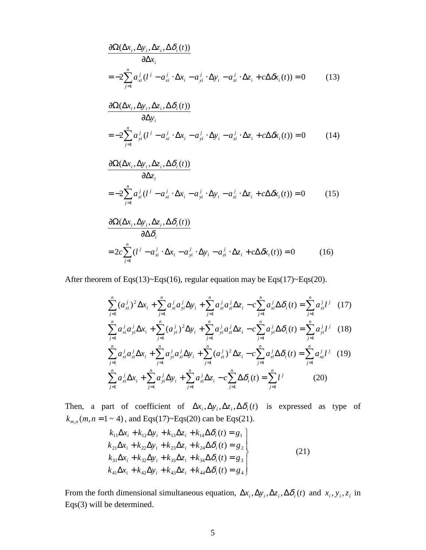$$
\frac{\partial \Omega(\Delta x_i, \Delta y_i, \Delta z_i, \Delta \delta_i(t))}{\partial \Delta x_i} = -2 \sum_{j=1}^n a_{xi}^j (l^j - a_{xi}^j \cdot \Delta x_i - a_{yi}^j \cdot \Delta y_i - a_{zi}^j \cdot \Delta z_i + c \Delta \delta x_i(t)) = 0 \tag{13}
$$

$$
\frac{\partial \Omega(\Delta x_i, \Delta y_i, \Delta z_i, \Delta \delta_i(t))}{\partial \Delta y_i}
$$
  
=  $-2 \sum_{j=1}^n a_{yi}^j (l^j - a_{xi}^j \cdot \Delta x_i - a_{yi}^j \cdot \Delta y_i - a_{zi}^j \cdot \Delta z_i + c \Delta \delta x_i(t)) = 0$  (14)

$$
\frac{\partial \Omega(\Delta x_i, \Delta y_i, \Delta z_i, \Delta \delta_i(t))}{\partial \Delta z_i}
$$
  
= 
$$
-2\sum_{j=1}^n a_{zi}^j (l^j - a_{xi}^j \cdot \Delta x_i - a_{yi}^j \cdot \Delta y_i - a_{zi}^j \cdot \Delta z_i + c\Delta \delta x_i(t)) = 0
$$
 (15)

$$
\frac{\partial \Omega(\Delta x_i, \Delta y_i, \Delta z_i, \Delta \delta_i(t))}{\partial \Delta \delta_i}
$$
  
=  $2c \sum_{j=1}^n (l^j - a_{xi}^j \cdot \Delta x_i - a_{yi}^j \cdot \Delta y_i - a_{zi}^j \cdot \Delta z_i + c \Delta \delta x_i(t)) = 0$  (16)

After theorem of Eqs(13)~Eqs(16), regular equation may be Eqs(17)~Eqs(20).

$$
\sum_{j=1}^{n} (a_{xi}^{j})^{2} \Delta x_{i} + \sum_{j=1}^{n} a_{xi}^{j} a_{yi}^{j} \Delta y_{i} + \sum_{j=1}^{n} a_{xi}^{j} a_{zi}^{j} \Delta z_{i} - c \sum_{j=1}^{n} a_{xi}^{j} \Delta \delta_{i}(t) = \sum_{j=1}^{n} a_{xi}^{j} l^{j} \quad (17)
$$
\n
$$
\sum_{j=1}^{n} a_{xi}^{j} a_{yi}^{j} \Delta x_{i} + \sum_{j=1}^{n} (a_{yi}^{j})^{2} \Delta y_{i} + \sum_{j=1}^{n} a_{yi}^{j} a_{zi}^{j} \Delta z_{i} - c \sum_{j=1}^{n} a_{yi}^{j} \Delta \delta_{i}(t) = \sum_{j=1}^{n} a_{yi}^{j} l^{j} \quad (18)
$$
\n
$$
\sum_{j=1}^{n} a_{xi}^{j} a_{zi}^{j} \Delta x_{i} + \sum_{j=1}^{n} a_{yi}^{j} a_{zi}^{j} \Delta y_{i} + \sum_{j=1}^{n} (a_{zi}^{j})^{2} \Delta z_{i} - c \sum_{j=1}^{n} a_{zi}^{j} \Delta \delta_{i}(t) = \sum_{j=1}^{n} a_{xz}^{j} l^{j} \quad (19)
$$
\n
$$
\sum_{j=1}^{n} a_{xi}^{j} \Delta x_{i} + \sum_{j=1}^{n} a_{yi}^{j} \Delta y_{i} + \sum_{j=1}^{n} a_{zi}^{j} \Delta z_{i} - c \sum_{j=1}^{n} \Delta \delta_{i}(t) = \sum_{j=1}^{n} l^{j} \quad (20)
$$

Then, a part of coefficient of  $\Delta x_i$ ,  $\Delta y_i$ ,  $\Delta z_i$ ,  $\Delta \delta_i(t)$  is expressed as type of  $k_{m,n}(m, n = 1 \sim 4)$ , and Eqs(17)~Eqs(20) can be Eqs(21).

$$
k_{11}\Delta x_{i} + k_{12}\Delta y_{i} + k_{13}\Delta z_{i} + k_{14}\Delta\delta_{i}(t) = g_{1}
$$
  
\n
$$
k_{21}\Delta x_{i} + k_{22}\Delta y_{i} + k_{23}\Delta z_{i} + k_{24}\Delta\delta_{i}(t) = g_{2}
$$
  
\n
$$
k_{31}\Delta x_{i} + k_{32}\Delta y_{i} + k_{33}\Delta z_{i} + k_{34}\Delta\delta_{i}(t) = g_{3}
$$
  
\n
$$
k_{41}\Delta x_{i} + k_{42}\Delta y_{i} + k_{43}\Delta z_{i} + k_{44}\Delta\delta_{i}(t) = g_{4}
$$
\n(21)

From the forth dimensional simultaneous equation,  $\Delta x_i$ ,  $\Delta y_i$ ,  $\Delta z_i$ ,  $\Delta \delta_i(t)$  and  $x_i$ ,  $y_i$ ,  $z_i$  in Eqs(3) will be determined.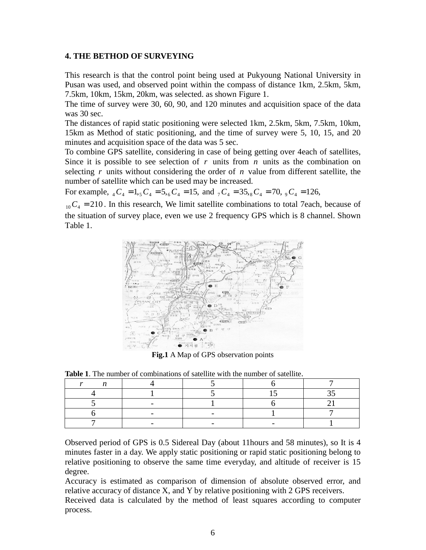#### **4. THE BETHOD OF SURVEYING**

This research is that the control point being used at Pukyoung National University in Pusan was used, and observed point within the compass of distance 1km, 2.5km, 5km, 7.5km, 10km, 15km, 20km, was selected. as shown Figure 1.

The time of survey were 30, 60, 90, and 120 minutes and acquisition space of the data was 30 sec.

The distances of rapid static positioning were selected 1km, 2.5km, 5km, 7.5km, 10km, 15km as Method of static positioning, and the time of survey were 5, 10, 15, and 20 minutes and acquisition space of the data was 5 sec.

To combine GPS satellite, considering in case of being getting over 4each of satellites, Since it is possible to see selection of *r* units from *n* units as the combination on selecting *r* units without considering the order of *n* value from different satellite, the number of satellite which can be used may be increased.

For example,  ${}_{4}C_{4} = 1,{}_{5}C_{4} = 5,{}_{6}C_{4} = 15,$  and  ${}_{7}C_{4} = 35,{}_{8}C_{4} = 70, {}_{9}C_{4} = 126,$ 

 $_{10}C_4 = 210$ . In this research, We limit satellite combinations to total 7each, because of the situation of survey place, even we use 2 frequency GPS which is 8 channel. Shown Table 1.



**Fig.1** A Map of GPS observation points

**Table 1**. The number of combinations of satellite with the number of satellite.

Observed period of GPS is 0.5 Sidereal Day (about 11hours and 58 minutes), so It is 4 minutes faster in a day. We apply static positioning or rapid static positioning belong to relative positioning to observe the same time everyday, and altitude of receiver is 15 degree.

Accuracy is estimated as comparison of dimension of absolute observed error, and relative accuracy of distance X, and Y by relative positioning with 2 GPS receivers.

Received data is calculated by the method of least squares according to computer process.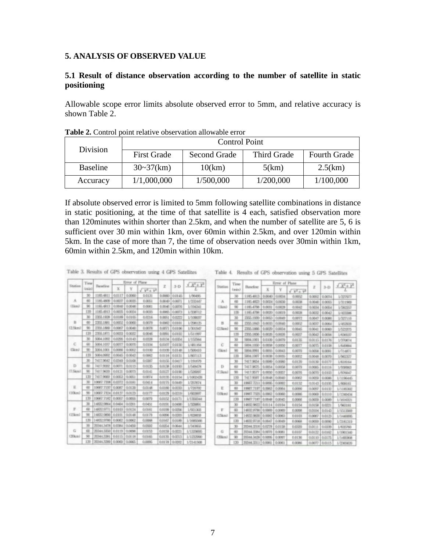#### **5. ANALYSIS OF OBSERVED VALUE**

#### **5.1 Result of distance observation according to the number of satellite in static positioning**

Allowable scope error limits absolute observed error to 5mm, and relative accuracy is shown Table 2.

|                 | <b>Control Point</b> |                     |                    |                     |  |  |  |  |
|-----------------|----------------------|---------------------|--------------------|---------------------|--|--|--|--|
| Division        | <b>First Grade</b>   | <b>Second Grade</b> | <b>Third Grade</b> | <b>Fourth Grade</b> |  |  |  |  |
| <b>Baseline</b> | $30-37$ (km)         | 10(km)              | 5(km)              | 2.5(km)             |  |  |  |  |
| Accuracy        | 1/1,000,000          | 1/500,000           | 1/200,000          | 1/100,000           |  |  |  |  |

**Table 2.** Control point relative observation allowable error

If absolute observed error is limited to 5mm following satellite combinations in distance in static positioning, at the time of that satellite is 4 each, satisfied observation more than 120minutes within shorter than 2.5km, and when the number of satellite are 5, 6 is sufficient over 30 min within 1km, over 60min within 2.5km, and over 120min within 5km. In the case of more than 7, the time of observation needs over 30min within 1km, 60min within 2.5km, and 120min within 10km.

|              | Time             |                              |        | Error of Plane |                                 |                 |                |                          |
|--------------|------------------|------------------------------|--------|----------------|---------------------------------|-----------------|----------------|--------------------------|
| Station      | <b>Gracian J</b> | <b>Baseline</b>              | x      |                | $V^{\parallel} + V^{\parallel}$ | z               | $3 - D$        | $\sqrt{X_0 + \lambda_0}$ |
|              | 30               | 1185.4811                    | 0.0117 | 0.0060         | 0.0131                          | 0.0000          | 0.04.45        | 1/90495                  |
| A            | 60               | 1185.4809                    | 0.0037 | 0:0035         | 0.0051                          | 0,0049          | 0.0071         | 1/232447                 |
| (Hemi)       | 90               | 1185.4813                    | 0.0648 | 0.0046         | 0:0061                          | 0:3045          | 0.0076         | <b>L'ISOENI</b>          |
|              | 150              | 1185.4913                    | 0.00%  | 0:0034         | 0.0005                          | 0.0065          | <b>O.DOTS</b>  | 1/3.89712                |
|              | 30               | 2003.1928                    | 0.0189 | 0.0105         | 0.0216                          | 0.0051          | 0.0222         | 1/109037                 |
| B            | 60               | 2355, 1860                   | 0.0052 | 0/3090         | 6/3076                          | 0.0062          | 0.000          | 1/200125                 |
| (2.5km)      | 90 <sub>1</sub>  | 2355,1880                    | 0.0067 | 0.0040         | 0.0078                          | 8:0071          | 0.0106         | LODERIT                  |
|              | 130              | 2356,1871                    | 0.0033 | 0.0002         | 0.0046                          | 0.0091          | 0.0102         | 1/511997                 |
|              | 30               | 5004,1092                    | 0.0296 | 0.0143         | 0.0328                          | <b>BOLM</b>     | 0.0254         | <b>L/1020Vid</b>         |
| c            | 60               | BOD4, 1/232                  | 0.0077 | 0.0070         | 0.0104                          | 0.0107          | 0.0150         | 1/481354                 |
| <b>Class</b> | 90               | 5004.1000                    | 0.00%  | 0.0062         | 0.0300                          | 0.0106          | 0.0146         | 1/500410                 |
|              | 120              | 5004,0992                    | 0.0045 | 0.0043         | 0.0062                          | 0.0116          | 0.0131         | 1/807113                 |
|              | 30               | 7417,9642                    | 0.0349 | 0.0108         | 0.0380                          | 0.0156          | 0.0417         | 1/154679                 |
| Ð            | 6D)              | 3417,9602                    | 0.0071 | 0.0115         | 0.0135                          | <b>GOLDS</b>    | 0.0193         | 1/549478                 |
| (7.5km)      | 90               | 3417,9630                    | 0.0121 | 0.0073         | 0.0041                          | 0.0127          | 0.0190         | 1/500000                 |
|              | 120              | 7417,9903                    | 0.0063 | 0.0051         | GLOSTV4                         | 0.0135          | 0.0154         | 1/1002426                |
|              | 30               | 10967.7208                   | 0.0372 | <b>GOINI</b>   | 0.0414                          | 0.0075          | 0.0449         | 1/257674                 |
| 妥            | œ                | 10667.7250                   | 0.0087 | 0.0120         | 0.0048                          | 0.0090          | 0:0203         | 1/730393                 |
| (30km)       | 90               | 10067.7334                   | 0.0127 | 0.0123         | 0.0077                          | 0.0129          | 0.0219         | 1.4923997                |
|              | 120              | 10067.7182                   | 0.0057 | 0.00%          | 0.0079                          | 0.0052          | 0.0171         | L/1300044                |
|              | 30               | 14832.9964                   | 0.0404 | 0.0300         | 0.0450                          | 0.0050          | 0.0430         | 1/12/09/01               |
|              | 面                | 14832.9771                   | 0.0103 | 0.0134         | 0.0161                          | 0.0198          | 0.0256         | 1,521300                 |
| (15km)       | 98               | 14/02/980                    | 0.0101 | 0.0548         | 0.0879                          | <b>GLOCIENE</b> | 0.0303         | 1/83403                  |
|              | 120              | 14832, 9780                  | 0.0062 | 0.0062         | 0.0098                          | 0.0667          | 0.0189         | 1/1080008                |
|              | 3D               | 20344.3478                   | D.IDSA | 0.0450         | 0.0502                          | 0.0254          | 0.0644         | 1/3DWA                   |
| G            | œ                | 20344.3350                   | 0.0119 | 0.0096         | 0.0153                          | 0.0159          | 0.0221         | <b>L/1329095</b>         |
| (20km)       | 50               | 2014/13/16                   | 6.8115 | 0.08.18        | 0.0165                          | 0.0135          | 0.0213         | <b>INTERNOO</b>          |
|              | 120              | 2010/01/10 02:00:00 12:00:00 |        |                | CLEARING.                       |                 | OUNCES LIGHTER | 1,771,415(19)            |

Table 3. Results of GPS observation using 4 GPS Satellites

| Table 4. Results of GPS observation using 5 GPS Satellity |  |  |  |  |  |  |  |
|-----------------------------------------------------------|--|--|--|--|--|--|--|
|-----------------------------------------------------------|--|--|--|--|--|--|--|

|          | Time      |                  |                | Errar of Plane  |               |                 |               |                        |
|----------|-----------|------------------|----------------|-----------------|---------------|-----------------|---------------|------------------------|
| Station  | Finality) | Baneline         | $\mathbf x$    | Ÿ               | $X^2 + Y^2$   | z               | $3 - 13$      | $\overline{X_1 + Y_2}$ |
|          | 30        | 1185.4813        | 0.0040         | 0.00%           | 0.0052        | 0.0092          | D.DOTAL       | <b>MENTENT</b>         |
|          | 60        | 1185,4823        | 0:0034         | 0.0030          | 0.0038        | 0.0046          | D.DON'S       | 1/311968               |
| (Hem)    | 90        | 1185.4798        | 0.0031         | 0.0078          | 0.0042        | 0.0034          | 0.0054        | <b>LOROSO</b>          |
|          | 120       | 1185.4798        | 0.0000         | O.DEES          | 0.0023        | 0.0032          | 0.0042        | 1/022096               |
|          | 30        | 2305, 1939       | 0.0063         | 0.0049          | 0.0072        | 0.0047          | 0:0086        | 1/027118               |
|          | 60        | 2355.1843        | 0.0003         | 0.0040          | 0.0002        | 0.0037          | 0:0064        | 1/45/500               |
| (2.5km)  | 90        | <b>2355.1806</b> | 0.0000         | 0.0034          | 0.0045        | 0.0041          | DISORD        | 1/523773               |
|          | 120       | <b>ZIOLING</b>   | 0.0026         | 0.0035          | 0.0027        | 0.0042          | <b>DISTRI</b> | 1/636637               |
|          | 30        | 5004,1001        | 0.0109         | 0.0079          | 0.0135        | 0.0115          | 6:0176        | LODGETA                |
| c        | 60        | 5004.1050        | 0.0098         | 0.0050          | 0.0077        | 0.0075          | 0.0108        | 1.942,000.0            |
| (Skou)   | 90        | 5004.0991        | 0.0065         | 0.0043          | 0.0070        | 0.00%           | 0.0091        | L/TLONTS               |
|          | 139       | 5004,1007        | 0.0008         | <b>D.DONS</b>   | 0.0092        | 0.0048          | 0.0070        | <b>LARCEO</b>          |
|          | 30        | 7417.9054        | 0.0046         | 0.0080          | 0.0130        | 0.0030          | 0.0177        | <b>LVGUSE GA</b>       |
| Ð        | 60        | 7417.9675        | 0.0054         | <b>D.DOCall</b> | 0.0079        | 0.00KG          | 0.0116        | 1/UNRO                 |
| (T.Skex) | 90        | 7417.9577        | 0.0090         | 0.0057          | 0.0076        | 0.0070          | 0.0103        | L/EOWLE7               |
|          | 150       | 7417.9993        | 0.0048         | 0.0040          | 0.0062        | 0.0039          | 0.0096        | 1/1199445              |
|          | 30        | 10067.7211       | 0.0095         | D.DORT          | 0.0132        | 0.0043          | 0.0195        | <b>LAKINEGE</b>        |
| E        | 60        | 10067.7197       | 0.0063         | 0.0064          | 0.0090        | 0.009.0         | 0.0132        | 1/11MY302              |
| (10km)   | 90        | 10007.7325       | 0.0062         | 0.9060          | 0.00%         | 0.0009          | 0.0110        | 1/1340434              |
|          | 130       | 10667.7187       | 0.0648         | 0.0045          | 0.0006        | <b>OLDEE 64</b> | 0.0069        | 1/1616321              |
|          | 30        | 14832 9822       | 0.0014         | 0.0104          | 0.0154        | 0.0156          | 0.0221        | 1/963181               |
| Е        | 60        | 14832.9790       | <b>GLOEINS</b> | 0.000           | 0.0098        | 0.0104          | 0.0140        | <b>LASTER</b>          |
| (15km)   | 90        | 14832:9830       | 0.0083         | D-DORS          | 0.0103        | 0.0067          | 0.0123        | 1/1440095              |
|          | 130       | 14632-9718       | 0.0647         | 0.0049          | 0.0068        | 0,009           | 0.0000        | 1/2181319              |
|          | 30        | 20344.3316       | 0.0278         | 0.0158          | DECO          | 0.0111          | 信任文件          | I/635760               |
| 石        | 40        | 30344.3384       | 0.0077         | 0.0083          | <b>D.DEEV</b> | 0.04.22         | 0.0362        | 1/1901340              |
| 120kml   | 90        | 20344.3439       | CLOSSING.      | DISORT          | 0.0136        | 0.0130          | 0.0175        | 1/1492908              |
|          | 130       | 20344,338.1      | 0.0063         | 0.0061          | D.DOW         | 0.0077          | 0.0115        | $1/2$ with $2$         |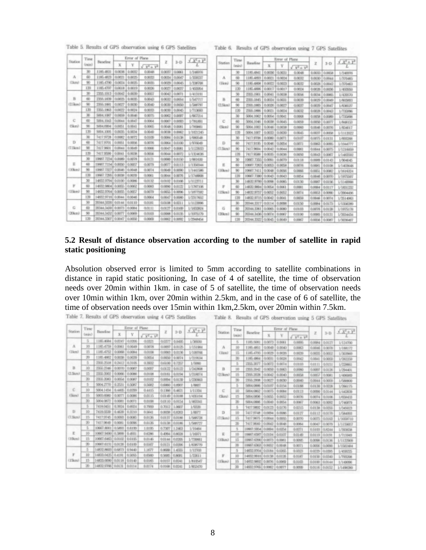Table 5. Results of GPS observation using 6 GPS Satellites

Table 6. Results of GPS observation using 7 GPS Satellites

|            | Time       |                     | Error of Plane<br>$\sqrt{X^2+Y^2}$<br>$3 - 13$ |        |                  | Tin    |        |                   |              |               |
|------------|------------|---------------------|------------------------------------------------|--------|------------------|--------|--------|-------------------|--------------|---------------|
| Station    | Grecie II  | <b>Baseline</b>     | x                                              | Y      | $\sqrt{V^2+V^2}$ | z      |        |                   | Station      | Ini           |
|            | 30         | 1185.4831           | 0.0036                                         | 0.0002 | 0.0048           | 0.0037 | 0.0063 | 1/3/8006          |              | $\mathcal{R}$ |
| A          | 40         | 1185.4823           | 0.0021                                         | 0.0025 | 0.0033           | 0.0034 | 0.0047 | <b>LOOKER</b>     | A            | 80            |
| (1km)      | 90         | 1185-4790           | 0.0034                                         | 0.0005 | 0.0035           | 0.0039 | 0.0045 | 1/3.89709         | (Ikm)        | 90            |
|            | 120        | 1185-4750           | 0.0018                                         | 0.0019 | 0.0006           | 0.0027 | 0.0037 | 1/45/054          |              | 12            |
|            | 30         | ZEW-1913            | 0.0042                                         | 0.0009 | 0.0067           | 0/3042 | 0.0071 | 1/413191          |              | 30            |
| $_{\rm B}$ | 60         | 2350,1828           | 0.0025                                         | 0.0005 | 0.0043           | 0.0002 | 0.0054 | 1/547717          |              | 60            |
| (2.5km)    | 90         | 2356,1880           | 0.0027                                         | 0.0000 | 0.0040           | 0.0000 | 0.0050 | 1/589797          | (2.Skm)      | 90            |
|            | 130        | 2356,1863           | 0.0022                                         | 0.0034 | 0.0033           | 0.0030 | 0.0045 | 1/713068          |              | 13            |
|            | 30         | 5004.1067           | 0.0099                                         | 0.0046 | 0.0075           | 0.0002 | 0.0097 | 1/967214          |              | 30            |
| c          | (W)        | 5004,1043           | 0.0044                                         | 0.0047 | 0.0064           | 0.0067 | 0.0083 | 1/781891          |              | 60            |
| Ukm        | 90         | 5004,0004           | 0.0051                                         | 0.0041 | 0.0065           | 0.0048 | 0.0081 | 1/700PEI          | <b>Clust</b> | 50            |
|            | 120        | 5004,1005           | 0.0035                                         | 0.0034 | 0.0049           | 0.0098 | 0.0062 | 1/103345          |              | 12            |
|            | 3B         | 3417,9728           | 0.0082                                         | 0.0072 | 0.0306           | 0.0094 | 0.1138 | 1/680548          |              | 30            |
| D          | 面          | 3a17,600t           | 0.0051                                         | 0.0096 | 0.0076           | 0.0064 | 0.3100 | 1/97/8049         | $1$          | 60            |
| (7.5km)    | 98         | 7417,9604           | 0.0044                                         | 0.0649 | 0.0066           | 0.0047 | 0:0001 | <b>1/11/28/01</b> | (7.5km)      | 90            |
|            | 120        | 7417,5590           | 0.0041                                         | 0.0036 | 0.00%            | 0.0044 | 0:0072 | 1/1324636         |              | 12            |
|            | 30         | 10067.7234          | 0.0069                                         | 0.0078 | 0.0123           | 0.0080 | 0:3150 | 1/881630          |              | 30            |
|            | 60         | 10667.7154          | 0.0090                                         | 0.0057 | 0.0079           | 0.0077 | 00113  | 1/1350344         | E            | 60            |
| CIÓlamó    | 98         | 10967.7327          | 0.0049                                         | 0.0048 | 0.0074           | 0.0049 | 0.0090 | 1/1441596         | (10km)       | 90            |
|            | 120        | 10967-7296          | 0.0008                                         | 0.0039 | 0.0060           | 0.0044 | 0.0076 | L/1748ROR         |              | 136           |
|            | 30         | 14/02 9794 0:0100   |                                                | 0.00%  | 0.0132           | 0.0002 | 0.0196 | 1/1123711         |              | 30            |
|            | 60         | 14532 9804 0:0055   |                                                | 0.0002 | 0.0083           | 0.0090 | 0.0122 | 1/1787106         |              | 60            |
| (Elkm)     | 90         | 14832, 9764         | 0.00%                                          | 0.0057 | 0.0079           | 0.00%  | 0.0096 | 1/1877902         | (15km)       | 90            |
|            | T26        | 14832,9716          | 0.0044                                         | 0.0046 | 0.0064           | 0.0047 | 0.0090 | 1/2317652         |              | 13            |
|            | 30         | 20344.3330          | 0.0144                                         | 0.0030 | <b>OLOURE</b>    | 0.0006 | 0.0211 | 1/1123996         |              | 30            |
| G          | 60         | 20344.3430   0:0073 |                                                | 0.0084 | 0.01.11          | 0.0027 | 0.0100 | 1/183204          | $\sqrt{2}$   | 40            |
| (20km)     | 90         | 20344,3432          | 0.0077                                         | 0.0009 | 0.0103           | 0.0088 | 0.0135 | MERSI79           | (20km)       | 90            |
|            | <b>D20</b> | 20344,3307          | 0.0047                                         | 0.00%  | 0.0009           | 0.0002 | 0.0000 | 1/2948454         |              | 13            |

|               | Time            |                     |               | Error of Plane |                    |                   |               |                          |
|---------------|-----------------|---------------------|---------------|----------------|--------------------|-------------------|---------------|--------------------------|
| Station       | (min)           | Baseline            | $\mathbf x$   | ٧              | $\sqrt{V^2 - V^2}$ | z                 | $3 - D$       | $\sqrt{X_5 + \lambda_5}$ |
|               | 30 <sub>0</sub> | 1185.4841           | 0.0036        | 0.0033         | 0.0048             | 0.0003            | <b>G.DOEW</b> | 1/348006                 |
| A             | 60              | 1185,4803           | 0.0021        | 0.0034         | 0.0002             | 0.0030            | 0.0044        | 1/370485                 |
| (Ikm)         | 98              | 1185.4808           | <b>D-DO22</b> | 0.0023         | 0.0032             | 0.0035            | 0.0042        | 1/370463                 |
|               | 120             | 1185,4806           | <b>DIRECT</b> | 0.0017         | 0.0034             | 0.0036            | <b>D.DODG</b> | <b>LARGERO</b>           |
|               | 30              | 23525, 1940 (       | 0.0041        | 0.0038         | <b>GUERAS</b>      | 0.0034            | 0.0085        | <b>I/420530</b>          |
|               | 60              | <b>ZYZ-1945</b>     | 0.0034        | 0.0035         | 0.0039             | 0.000%            | 0.0049        | <b>L/BOSHES</b>          |
| 12.5kml       | 90              | 2350, 1985          | 0.0036        | 0.0027         | 0.0007             | 0.0039            | 0.0047        | 1/636537                 |
|               | 120             | 2356,1896           | 0.0021        | 0.0034         | 0.00112            | 0.0038            | 0.0047        | 1/7/2006                 |
|               | ЭΩ              | 9004.1062           | 0.0054        | 0.0041         | 0.0068             | 0.0058            | 0.0089        | L/730946                 |
| c             | 60              | 5004,1045           | 0.0008        | 0.0045         | 0.00%              | 0.00%             | <b>D.DOTT</b> | 1/648153                 |
| <b>Classi</b> | 50              | 5004,1002           | 0.0046        | 0.0038         | 0.0060             | 0.0046            | 0.0076        | 1/834017                 |
|               | <b>DN</b>       | 5004,1007           | 0.0003        | 0.0030         | 0.0045             | 0,0033            | <b>DIDOES</b> | 1/1113022                |
|               | 30              | 7417.9706           | 0.0080        | 0.0071         | 0.0007             | 0.0075            | 0.0131        | 1-NOTCHES                |
| D             | 60              | 7417.9195           | 0.0046        | 0.00%          | 0.0071             | 0.0063            | DISORS.       | 1/1044777                |
| (T.Skra)      | 90              | 74173904            | 0.0042        | 0.0044         | 0.0062             | 0.0044            | 0.0075        | 1/1216059                |
|               | 128             | 7417.9098           | 0.0005        | <b>D.DOSS</b>  | 0.00%              | 0.0043            | 0.0067        | 1/14/02/82               |
|               | 30              | 10001.7200          | 0.0091        | 0.0079         | G.DE.18            | <b>GLOEIRS</b>    | 0.0143        | 1/804045                 |
| н             | 60              | 10067.7263          | 0.0063        | 0.00%          | <b>OLDEFIN</b>     | <b>GLOGIEST</b>   | 0.0108        | 1/1403948                |
| (10km)        | 90              | 10007.3411          | 0.0048        | 0.DOSS         | <b>OLDORAS</b>     | 0.0051            | 0.0062        | 1/1616224                |
|               | 156             | 10667.7380   0.0043 |               | 0.0043         | 0.00%              | 0.0046            | 0.0070        | <b>L'ISTANT</b>          |
|               | 30              | 14832.9799          | <b>GODE</b>   | D.DOR'S        | 0.0130             | 0.0087            | 0:3156        | 1/1140086                |
| в             | 60              | 14K32.5HI-61        | 0.0001        | 0.0061         | <b>D.DOIST</b>     | 0.0084            | 0.0117        | <b>MEAZE</b>             |
| (15km)        | 90              | 14832.9757          | 0.0052        | 0.0052         | 0.0074             | 0.0053            | <b>DODRO</b>  | LODO4436                 |
|               | 130             | 14832.9715          | 0.0042        | 0.0041         | <b>O.DOEWA</b>     | 0.0046            | 0.0004        | 1/3514063                |
|               | 3O.             | 30344.3307          | 0.0114        | <b>0.00689</b> | 0.0150             | 0.00%             | 0.0173        | 1/13/6090                |
| G             | 60              | 20344.3361          | <b>GODPES</b> | 0.0080         | 0.0103             | <b>OLDOTIS</b>    | 0.0128        | 1/1975178                |
| (20km)        | 90              | 202044.34361        | 0.0074        | 0.0067         | 0.0400             | 0.0085            | 0.0131        | LODAGH.                  |
|               | 130             | 30344.XX22          | 0.0645        | 0.0049         | <b>DURBO</b>       | <b>GLOCIE WIL</b> | 0.0087        | <b>LODINARY</b>          |

 $0.0006$ 

00116 0.0152 1/1498390

3-D  $X^2 + Y^2$ 

#### **5.2 Result of distance observation according to the number of satellite in rapid static positioning**

Absolution observed error is limited to 5mm according to satellite combinations in distance in rapid static positioning, In case of 4 of satellite, the time of observation needs over 20min within 1km. in case of 5 of satellite, the time of observation needs over 10min within 1km, over 20min within 2.5km, and in the case of 6 of satellite, the time of observation needs over 15min within 1km,2.5km, over 20min within 7.5km.<br>Table 7. Results of GPS observation using 4 GPS Satellites Table 8. Results of GPS observation using 5 GPS Satellites

|            | Time            |                         |               | Error of Plane |                    |                 |               |                                  |         | Time     |                          |               | Error of Plane |                  |                  |           |                 |
|------------|-----------------|-------------------------|---------------|----------------|--------------------|-----------------|---------------|----------------------------------|---------|----------|--------------------------|---------------|----------------|------------------|------------------|-----------|-----------------|
| Station    | (min)           | Baseline.               | $\mathbf{x}$  | $\mathbf{Y}$   | $\sqrt{Y^2 + Y^2}$ | $\mathbf{z}$    |               | 3-D $\frac{\sqrt{X^2 + Y^2}}{L}$ | Station | (relied  | Baseline                 | $\times$      | $\mathbf{Y}$   | $\sqrt{x^2+y^2}$ | $\mathbb Z$      |           | $3-D$ $X^2 + 1$ |
|            | s               | 1185.4984               | DIST          | 0.0306         | 0.0323             | 0.0377          | 0.0495        | 1/3/600                          |         | 5        | 1181.5061                | 0.0073 0.0061 |                | 0.0096           | 0.00K4           | 0.0127    | 1/134790        |
| $\Lambda$  | 10              | 1185.4759               | 0.0061        | 0.0049         | 0.0078             | 0.0007          | 4.0125        | 1/151984                         | Λ       | 30       | 1185-4851                | 0.0048        | 0.0040         | 0.0067           | 0.0046           | 4.0078    | 1/188172        |
| (Tkm)      | E               | 1185.4752               | 0.009 0.00N   |                | <b>G.DEDR</b>      | 0.0083          | 0.0136        | 1/100706                         | (Tight) | 适        | 1185.4793                |               | 0.0029 0.0036  | 0.0039           | 0.0005           | 0.0002    | 1/3039499       |
|            | 30              | 1385.4802               | 0.0008        | 0.0039         | 0.00%              |                 | 0.0050 0.0074 | 1/20934                          |         | 20       | 1185.4964                | 0.0031        | 0.0038         | 0.0042           | 0.0041           | 0.0009    | 1/302256        |
|            | 5               | 2366.2518               | 0:3412 0.3105 |                | 0.3902             | 0.6100   0.7257 |               | 1/5990                           |         | Б        | ZEW.2077                 | 0.0072        | 0.0034         | 0.0108           | 0.01.11          | 0.0151    | 1/23/06         |
| в          | 30              | 2356.2346               | 0.0070 0.0067 |                | 0.0097             | 0.0122 0.0122   |               | 1/343908                         | В       | 100      | 285.20C                  | 0.00%         | 0.0063         | 0.0080           | 0.0007           | 0.0126    | 1/294400        |
| (2.5km)    | 凹               | 2306.2002               | 0.006         | <b>DOCKS</b>   | 0.0108             | 0.0161          | 0.0194        | <b>L/21R0T4</b>                  | (2.5km) | 15       | 2355,2036                | 0.0042        | 0.0040         | 0.00%            | 0.0067           | 0.0081    | 1/406065        |
|            | 20              | 285.200                 | 0.0054        | 0.0082         | 0.0102             | <b>DUDDEN</b>   | 0.0039        | 1/230903                         |         | $\infty$ | 2355,2008                | 0.0027        | 0.0030         | 0.0040           | 0.0044           | 4,0066    | 1/58800         |
|            | 5               | 5004.2770 0.2531        |               | 0.5087         | 0.5682             | 0.6980          | 0.8907        | 1/8807                           |         |          | 5004.0886                | 0.0007        | 0.0154         | 0.0188           | 0.0130           | 0.0239    | LOWETS.         |
| C          | 100             | 5004,1454               | 0.4405        | 0.0299         | 0.4415             | 0.1396 0.4671   |               | 1/11334                          | C       | II)      | 2004/0902                | 0.0075        | 0.0084         | 0.0133           | 0.0090           | 0.0144    | LOADIOS         |
| (Sara)     | 15              | 5003/890                | 0.0077        | D.DOINS        | 0.0135             | 0.0449          | 0.0188        | 1/435104                         | (Skrs)  | 15       | 3004,0896                | 0.0055        | 6,0002         | 0.00%            | 0.0034 0.0306    |           | 1/09/00         |
|            | $\overline{20}$ | 5004.0872               | 0.0081        | 0.0071         | 0.0106             | 0.0130 0.0154   |               | L/MOG41                          |         | 20       | 5004,0885                | 0.0040        | 0.0054         | 0.0067           | 0.0063 0.0002    |           | 1/749779        |
|            | 5               | Télégent                | 0.3934        | 0.0034         | 0.7990             | 0.7012 1.0007   |               | 1/9320                           |         |          | T417.9802                | 0.0123        | 0.0176         | 0.825            | 0.0138           | $10,00\%$ | 1/345023        |
| $T$        | 10              | 7418.03289              | 0.65%         | 0.3250         | 0.9941             | 0.0038          | 0.8363        | 1,0677                           | D       | 10       | Sa17,9348                | 0.00%4        | 0.0086         | 0.0127           | 0.0112 0.0170    |           | 1/584001        |
| (T.Skm)    | 15              | 7417.9745               | 0.0003        | 0.0065         | 0.5136             | 0.0137          | 0.0186        | L/SWY28                          | 17.5km/ | 15       | 7417,9675                | 0.0044        | 0.0095         | 0.0070           | 0.0075 0.0000    |           | 1/1039710       |
|            | 30              | 7417,9649               | 0.0081        | 0.0006         | 0.0126             | 0.0138 0.0189   |               | 1/588727                         |         | 面        | 7417,9640                | 0.0042        | 0.0048         | 0:0064           | 0.0047           | 10.0079   | 1/115005        |
|            | 5               | 10061300110.5803        |               | 0.8190         | 1.0195             | 0.7307          | 1,2463        | L/30464                          |         |          | 10967.5854 0.0054        |               | 0.0254         | 0.0271           | 0.5103           | 0.8344    | L/2006DB        |
| E          | 10              | 000073490 0.3899        |               | 6.4931         | 0.6396             | 0.4964          | 0.803         | L/16071                          | E       | 10       | 10667.6387 0.0104        |               | 100007         | 0.0149           | 0.0119 0.019t    |           | 1/719949        |
| $(10k\pi)$ | 15              | 2010.0 (2847,780)       |               | 6:1105         | 0.0146             | 0.0144 0.0306   |               | 1/730601                         | (Hikan) | 15       | <b>LORE ATM LO DOTS</b>  |               | (0.0061)       | 0.0005           | 0.0096           | 0.0636    | 1/1122909       |
|            | 30              | 10967.6131 0.0126       |               | 0.0100         | 0.3167             | 0.0121          | 0.0006        | 1/638779                         |         | 図        | 10967.6363 0.0052        |               | 10.0048        | 0.0073           | 0.0006           | 0.0090    | 1/1502494       |
|            |                 | ETRA0 (8008.0981)       |               | 0/5440         | 1,1677             | 0.9695          | 1.4555        | L/12703                          |         | B        | 14832,9764 0.0184 0.0365 |               |                | 0.0323           | 0.0229           | 0.0395    | <b>I/459225</b> |
|            | 10              | 1403.0425 0.4181        |               | 0.9095         | 0.0560             | 0.5085          | 0.9691        | 1/22611                          | F       | 10       | 14832, 0010   0.0138     |               | 0.0126         | 0.0187           | 0.0150           | 0.0343    | 1/793306        |
| (15km)     | 15              | 148310090 0.0118        |               | 0.0140         | 0.0183             | 0.0157          | 0.0341        | 1/810547                         | CESses) | 15       | 14832.9802 0.0076 0.0069 |               |                | 0.0100           | 0.0100           | 0.0144    | 1/140096        |
|            | 20              | 148323786 0.0131 0.0114 |               |                | 0.0174             | 0.0198 0.0341   |               | 1/852470                         |         | 39       | 14832.9765 0:0062 0.0077 |               |                | 0.0006           | $00116$ $0.0152$ |           | 1/149830        |

8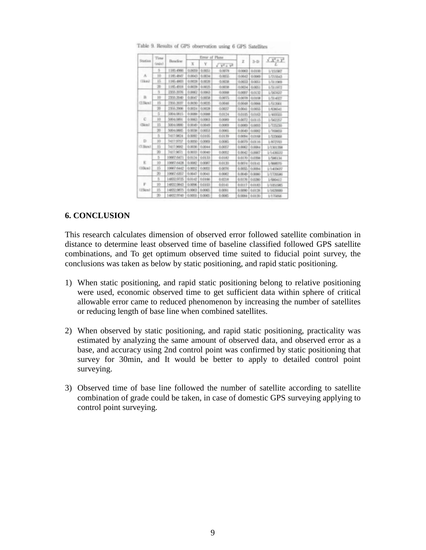|                 | Time            |                   |             | Error of Plane |                    |               |               | $\lambda$ $X_1 + \lambda_2$ |  |
|-----------------|-----------------|-------------------|-------------|----------------|--------------------|---------------|---------------|-----------------------------|--|
| Station         | $(n\sin 1)$     | Banclane          | $\mathbf x$ | Υ              | $\sqrt{X^2 + Y^2}$ | z             | $3 - D$       |                             |  |
|                 | 5               | 1385-4986         | 0.0099      | 0.0051         | 0.0078             | <b>GOINT</b>  | 0.0300        | 1/1519/07                   |  |
| $\mathcal{A}_i$ | 1b              | 1185.4847         | 0.0043      | 0.0034         | 0.00%              | 0.0043        | 0.0099        | 1/71/6643                   |  |
| (Ikwó)          | 15              | 1385.4803         | 0.0038      | 0.0036         | 0.0038             | 0.0033        | 0.0051        | 1/311909                    |  |
|                 | 38              | 1185-4918         | 0.00%       | 0.0025.        | 0.00%              | 0.0034        | 0.0051        | 1/311972                    |  |
|                 | 3               | 2355.2076         | 0.0062      | 0.0063         | 0.0088             | 0.0097        | 0.0132        | L/DS PS37                   |  |
| R               | $10^{-1}$       | 2355.2040         | 0.0047      | 0.00%          | 0.00TS             | <b>GECCEN</b> | 0.0008        | 1/314027                    |  |
| $C2.5$ kew $1$  | 15              | 2356-2037         | 0.0030      | 0.0035         | 0.0045             | 0.0048        | 0.0066        | 1/512001                    |  |
|                 | 39              | 2155,2006         | 0.0034      | 0.0028         | 0.0037             | 0.0041        | 0.00%         | 1/636541                    |  |
|                 | s               | <b>SOD4.0815</b>  | 0.0088      | 0.0088         | 0.0134             | 0.0105        | 0.0063        | L/400000                    |  |
| c               | 33              | <b>DODG ORD 1</b> | 0.0063      | 0.0063         | 0.0089             | 0.0072        | 0.0515        | L/SKOSSIZ                   |  |
| (Skra)          | 15              | 5004,0880         | 0.0049      | 0.0049         | <b>CLOOSE</b>      | 0.0003        | 0.0003        | 1/720230                    |  |
|                 | 30              | 5004,0865         | 0.0008      | 0.00%          | 0.0065             | 0.0049        | 0.0082        | 1/70WEG                     |  |
|                 | в               | 7417,9824         | 0.0092      | 0.0405         | 0.04.39            | 0.0064        | 0.0168        | <b>L'SYNON</b>              |  |
| D               | 30              | 3417,9052         | 0.0050      | 0.0009         | 0.0085             | 0.0009        | 0.01.16       | L/ByZym3                    |  |
| (T.Skew)        | 15              | 3417,9682         | 0.0096      | 0.0044         | 0.0057             | 0.0062        | 0.00%1        | 1/1301398                   |  |
|                 | 30              | 3417,9671         | 0.0003      | 0.0040         | 0.0092             | 0.0042        | 0.0007        | 1/1426622                   |  |
|                 | 5               | 10967.6471        | 0.0124      | 0.04.33        | <b>DELR?</b>       | 0.0170        | <b>OUTERS</b> | 1/586136                    |  |
| E               | 30              | 10667.6426        | 0.0002      | 0.0087         | 0.0430             | 0.0004        | 0.0141        | 1/800070                    |  |
| (10k/m)         | 15              | 10967.6442        | 0.0092      | 0.00SS         | 0.0006             | 0.00%         | 0.00%d        | 1/1403637                   |  |
|                 | 30              | 10967.6857        | 0.0043      | 0.0041         | 0.0082             | 0.0049        | 0.0090        | 1/1720596                   |  |
|                 | s               | 14/02/9725        | 0.0143      | 0.0166         | 0:0218             | 0.0176        | 0.0280        | 1/9/0412                    |  |
| p               | 10              | 14832 9843        | 0.0096      | 0.0103         | 0.0141             | 0.0117        | <b>O.DERS</b> | 1/105/5985                  |  |
| (15km)          | 15              | 14832.9875        | 0.0063      | 0.0065         | 0.0091             | 0.0090        | 0.0128        | 1/1429000                   |  |
|                 | $\overline{30}$ | 14832,0040        | 0.0055      | 0.0085         | 0.0005             | 0.0094        | 0.0130        | 1/175056                    |  |

Table 9. Results of GPS observation using 6 GPS Satellites

### **6. CONCLUSION**

This research calculates dimension of observed error followed satellite combination in distance to determine least observed time of baseline classified followed GPS satellite combinations, and To get optimum observed time suited to fiducial point survey, the conclusions was taken as below by static positioning, and rapid static positioning.

- 1) When static positioning, and rapid static positioning belong to relative positioning were used, economic observed time to get sufficient data within sphere of critical allowable error came to reduced phenomenon by increasing the number of satellites or reducing length of base line when combined satellites.
- 2) When observed by static positioning, and rapid static positioning, practicality was estimated by analyzing the same amount of observed data, and observed error as a base, and accuracy using 2nd control point was confirmed by static positioning that survey for 30min, and It would be better to apply to detailed control point surveying.
- 3) Observed time of base line followed the number of satellite according to satellite combination of grade could be taken, in case of domestic GPS surveying applying to control point surveying.